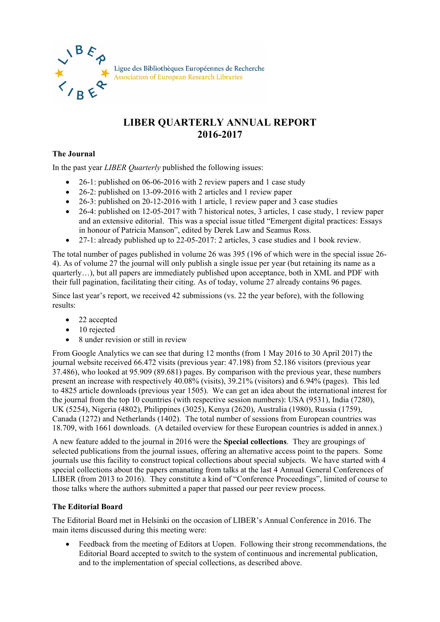

## **LIBER QUARTERLY ANNUAL REPORT 2016-2017**

## **The Journal**

In the past year *LIBER Quarterly* published the following issues:

- 26-1: published on 06-06-2016 with 2 review papers and 1 case study
- 26-2: published on 13-09-2016 with 2 articles and 1 review paper
- 26-3: published on 20-12-2016 with 1 article, 1 review paper and 3 case studies
- 26-4: published on 12-05-2017 with 7 historical notes, 3 articles, 1 case study, 1 review paper and an extensive editorial. This was a special issue titled "Emergent digital practices: Essays in honour of Patricia Manson", edited by Derek Law and Seamus Ross.
- 27-1: already published up to 22-05-2017: 2 articles, 3 case studies and 1 book review.

The total number of pages published in volume 26 was 395 (196 of which were in the special issue 26- 4). As of volume 27 the journal will only publish a single issue per year (but retaining its name as a quarterly…), but all papers are immediately published upon acceptance, both in XML and PDF with their full pagination, facilitating their citing. As of today, volume 27 already contains 96 pages.

Since last year's report, we received 42 submissions (vs. 22 the year before), with the following results:

- 22 accepted
- 10 rejected
- 8 under revision or still in review

From Google Analytics we can see that during 12 months (from 1 May 2016 to 30 April 2017) the journal website received 66.472 visits (previous year: 47.198) from 52.186 visitors (previous year 37.486), who looked at 95.909 (89.681) pages. By comparison with the previous year, these numbers present an increase with respectively 40.08% (visits), 39.21% (visitors) and 6.94% (pages). This led to 4825 article downloads (previous year 1505). We can get an idea about the international interest for the journal from the top 10 countries (with respective session numbers): USA (9531), India (7280), UK (5254), Nigeria (4802), Philippines (3025), Kenya (2620), Australia (1980), Russia (1759), Canada (1272) and Netherlands (1402). The total number of sessions from European countries was 18.709, with 1661 downloads. (A detailed overview for these European countries is added in annex.)

A new feature added to the journal in 2016 were the **Special collections**. They are groupings of selected publications from the journal issues, offering an alternative access point to the papers. Some journals use this facility to construct topical collections about special subjects. We have started with 4 special collections about the papers emanating from talks at the last 4 Annual General Conferences of LIBER (from 2013 to 2016). They constitute a kind of "Conference Proceedings", limited of course to those talks where the authors submitted a paper that passed our peer review process.

## **The Editorial Board**

The Editorial Board met in Helsinki on the occasion of LIBER's Annual Conference in 2016. The main items discussed during this meeting were:

• Feedback from the meeting of Editors at Uopen. Following their strong recommendations, the Editorial Board accepted to switch to the system of continuous and incremental publication, and to the implementation of special collections, as described above.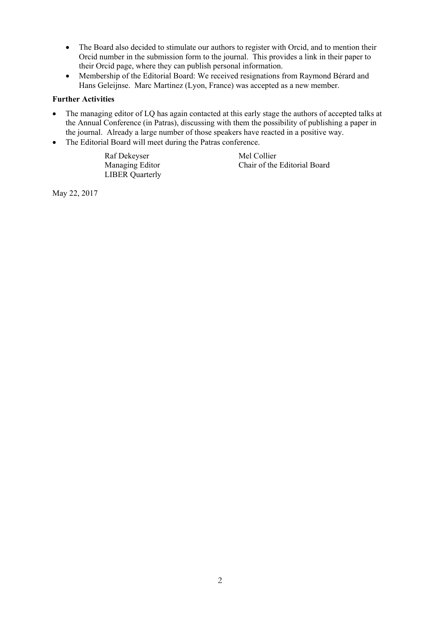- The Board also decided to stimulate our authors to register with Orcid, and to mention their Orcid number in the submission form to the journal. This provides a link in their paper to their Orcid page, where they can publish personal information.
- Membership of the Editorial Board: We received resignations from Raymond Bérard and Hans Geleijnse. Marc Martinez (Lyon, France) was accepted as a new member.

## **Further Activities**

- The managing editor of LQ has again contacted at this early stage the authors of accepted talks at the Annual Conference (in Patras), discussing with them the possibility of publishing a paper in the journal. Already a large number of those speakers have reacted in a positive way.
- The Editorial Board will meet during the Patras conference.

Raf Dekeyser Mel Collier LIBER Quarterly

Managing Editor Chair of the Editorial Board

May 22, 2017